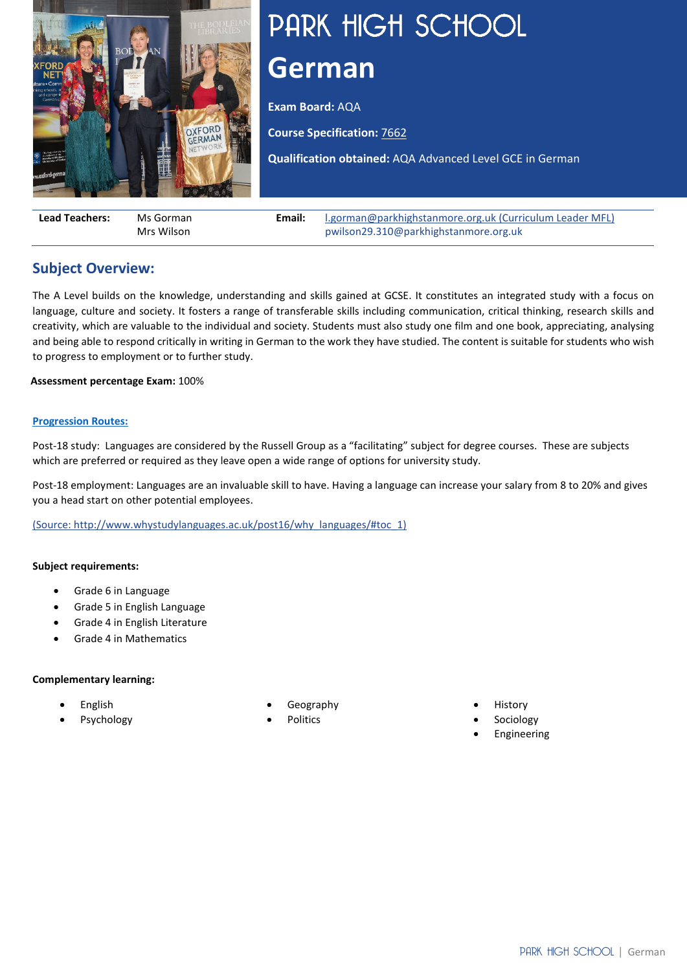

# PARK HIGH SCHOOL **German**

**Exam Board:** AQA

**Course Specification:** [7662](https://filestore.aqa.org.uk/resources/german/specifications/AQA-7662-SP-2016.PDF)

**Qualification obtained:** AQA Advanced Level GCE in German

| <b>Lead Teachers:</b> | Ms Gorman  | Email: | I.gorman@parkhighstanmore.org.uk (Curriculum Leader MFL) |  |
|-----------------------|------------|--------|----------------------------------------------------------|--|
|                       | Mrs Wilson |        | pwilson29.310@parkhighstanmore.org.uk                    |  |

## **Subject Overview:**

The A Level builds on the knowledge, understanding and skills gained at GCSE. It constitutes an integrated study with a focus on language, culture and society. It fosters a range of transferable skills including communication, critical thinking, research skills and creativity, which are valuable to the individual and society. Students must also study one film and one book, appreciating, analysing and being able to respond critically in writing in German to the work they have studied. The content is suitable for students who wish to progress to employment or to further study.

**Assessment percentage Exam:** 100%

#### **[Progression Routes:](https://www.parkhighstanmore.org.uk/careersandemploaybility/studentresources)**

Post-18 study: Languages are considered by the Russell Group as a "facilitating" subject for degree courses. These are subjects which are preferred or required as they leave open a wide range of options for university study.

Post-18 employment: Languages are an invaluable skill to have. Having a language can increase your salary from 8 to 20% and gives you a head start on other potential employees.

[\(Source: http://www.whystudylanguages.ac.uk/post16/why\\_languages/#toc\\_1\)](file://phs-apps-06/Digital$/Communications/Website/2019-20/KS5%20Curriculum/(Source:%20http:/www.whystudylanguages.ac.uk/post16/why_languages/#toc_1)) 

#### **Subject requirements:**

- Grade 6 in Language
- Grade 5 in English Language
- Grade 4 in English Literature
- Grade 4 in Mathematics

#### **Complementary learning:**

- English
- **Psychology**
- Geography
- Politics
- **History**
- **Sociology**
- **Engineering**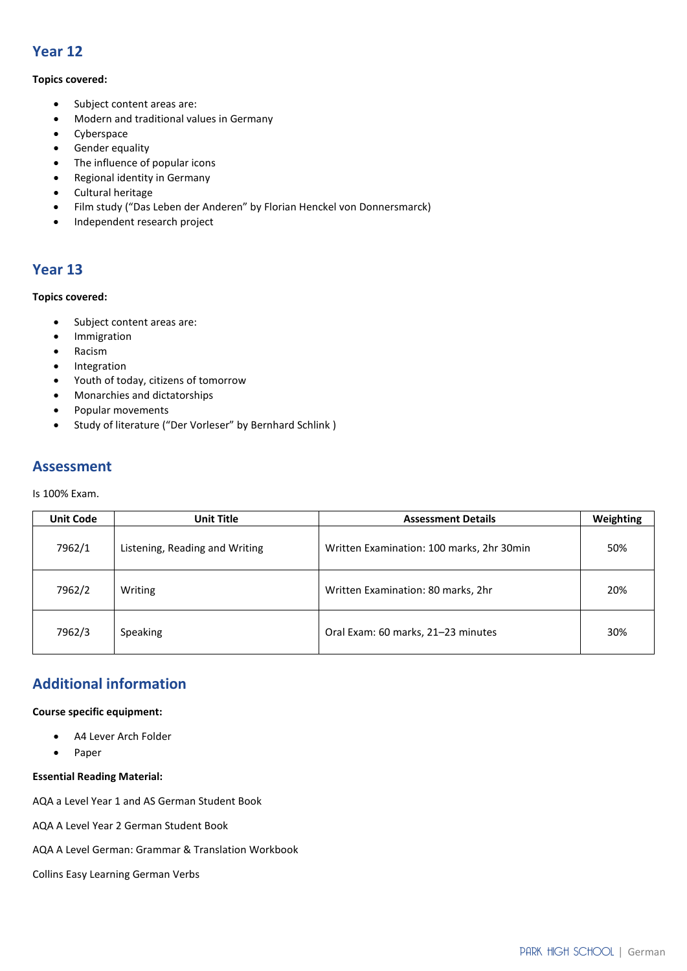## **Year 12**

#### **Topics covered:**

- Subject content areas are:
- Modern and traditional values in Germany
- Cyberspace
- Gender equality
- The influence of popular icons
- Regional identity in Germany
- Cultural heritage
- Film study ("Das Leben der Anderen" by Florian Henckel von Donnersmarck)
- Independent research project

## **Year 13**

#### **Topics covered:**

- Subject content areas are:
- Immigration
- Racism
- Integration
- Youth of today, citizens of tomorrow
- Monarchies and dictatorships
- Popular movements
- Study of literature ("Der Vorleser" by Bernhard Schlink )

## **Assessment**

Is 100% Exam.

| <b>Unit Code</b> | <b>Unit Title</b>              | <b>Assessment Details</b>                 | Weighting |
|------------------|--------------------------------|-------------------------------------------|-----------|
| 7962/1           | Listening, Reading and Writing | Written Examination: 100 marks, 2hr 30min | 50%       |
| 7962/2           | Writing                        | Written Examination: 80 marks, 2hr        | 20%       |
| 7962/3           | <b>Speaking</b>                | Oral Exam: 60 marks, 21-23 minutes        | 30%       |

## **Additional information**

#### **Course specific equipment:**

- A4 Lever Arch Folder
- Paper

#### **Essential Reading Material:**

AQA a Level Year 1 and AS German Student Book

AQA A Level Year 2 German Student Book

AQA A Level German: Grammar & Translation Workbook

Collins Easy Learning German Verbs